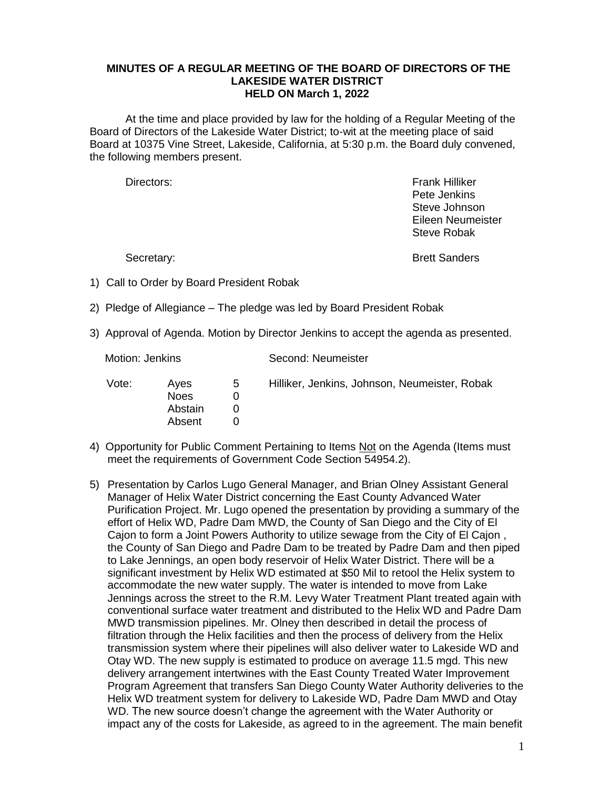## **MINUTES OF A REGULAR MEETING OF THE BOARD OF DIRECTORS OF THE LAKESIDE WATER DISTRICT HELD ON March 1, 2022**

At the time and place provided by law for the holding of a Regular Meeting of the Board of Directors of the Lakeside Water District; to-wit at the meeting place of said Board at 10375 Vine Street, Lakeside, California, at 5:30 p.m. the Board duly convened, the following members present.

Directors: Frank Hilliker Pete Jenkins Steve Johnson Eileen Neumeister Steve Robak

Secretary: Secretary: Secretary: Secretary: Secretary: Secretary: Secretary: Secretary: Secretary: Secretary: Secretary: Secretary: Secretary: Secretary: Secretary: Secretary: Secretary: Secretary: Secretary: Secretary: Se

- 1) Call to Order by Board President Robak
- 2) Pledge of Allegiance The pledge was led by Board President Robak
- 3) Approval of Agenda. Motion by Director Jenkins to accept the agenda as presented.

Motion: Jenkins Second: Neumeister

| Vote: | Aves<br>Noes<br>Abstain<br>Absent | 5 | Hilliker, Jenkins, Johnson, Neumeister, Robak |
|-------|-----------------------------------|---|-----------------------------------------------|
|-------|-----------------------------------|---|-----------------------------------------------|

- 4) Opportunity for Public Comment Pertaining to Items Not on the Agenda (Items must meet the requirements of Government Code Section 54954.2).
- 5) Presentation by Carlos Lugo General Manager, and Brian Olney Assistant General Manager of Helix Water District concerning the East County Advanced Water Purification Project. Mr. Lugo opened the presentation by providing a summary of the effort of Helix WD, Padre Dam MWD, the County of San Diego and the City of El Cajon to form a Joint Powers Authority to utilize sewage from the City of El Cajon , the County of San Diego and Padre Dam to be treated by Padre Dam and then piped to Lake Jennings, an open body reservoir of Helix Water District. There will be a significant investment by Helix WD estimated at \$50 Mil to retool the Helix system to accommodate the new water supply. The water is intended to move from Lake Jennings across the street to the R.M. Levy Water Treatment Plant treated again with conventional surface water treatment and distributed to the Helix WD and Padre Dam MWD transmission pipelines. Mr. Olney then described in detail the process of filtration through the Helix facilities and then the process of delivery from the Helix transmission system where their pipelines will also deliver water to Lakeside WD and Otay WD. The new supply is estimated to produce on average 11.5 mgd. This new delivery arrangement intertwines with the East County Treated Water Improvement Program Agreement that transfers San Diego County Water Authority deliveries to the Helix WD treatment system for delivery to Lakeside WD, Padre Dam MWD and Otay WD. The new source doesn't change the agreement with the Water Authority or impact any of the costs for Lakeside, as agreed to in the agreement. The main benefit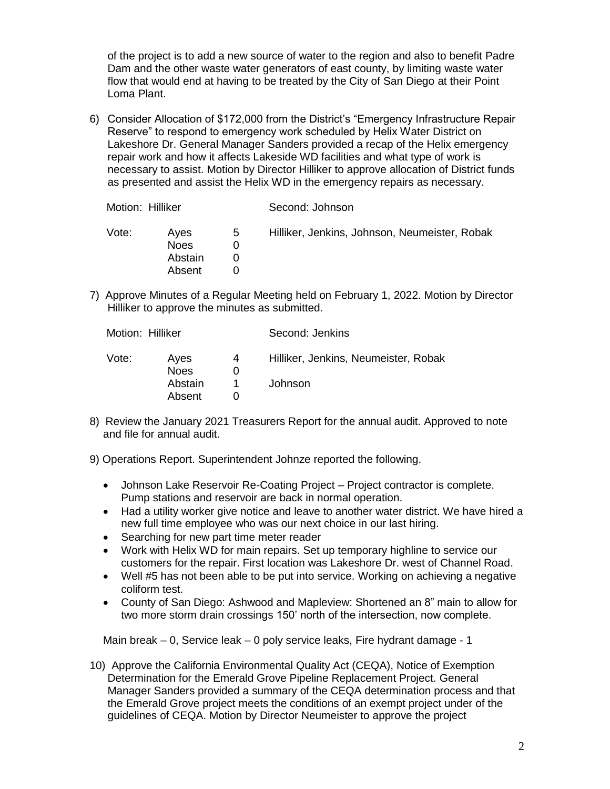of the project is to add a new source of water to the region and also to benefit Padre Dam and the other waste water generators of east county, by limiting waste water flow that would end at having to be treated by the City of San Diego at their Point Loma Plant.

6) Consider Allocation of \$172,000 from the District's "Emergency Infrastructure Repair Reserve" to respond to emergency work scheduled by Helix Water District on Lakeshore Dr. General Manager Sanders provided a recap of the Helix emergency repair work and how it affects Lakeside WD facilities and what type of work is necessary to assist. Motion by Director Hilliker to approve allocation of District funds as presented and assist the Helix WD in the emergency repairs as necessary.

| Motion: Hilliker |                                          |   | Second: Johnson                               |  |
|------------------|------------------------------------------|---|-----------------------------------------------|--|
| Vote:            | Aves<br><b>Noes</b><br>Abstain<br>Absent | 5 | Hilliker, Jenkins, Johnson, Neumeister, Robak |  |

7) Approve Minutes of a Regular Meeting held on February 1, 2022. Motion by Director Hilliker to approve the minutes as submitted.

| Motion: Hilliker |                     |   | Second: Jenkins                      |  |
|------------------|---------------------|---|--------------------------------------|--|
| Vote:            | Ayes<br><b>Noes</b> | 4 | Hilliker, Jenkins, Neumeister, Robak |  |
|                  | Abstain<br>Absent   |   | Johnson                              |  |

- 8) Review the January 2021 Treasurers Report for the annual audit. Approved to note and file for annual audit.
- 9) Operations Report. Superintendent Johnze reported the following.
	- Johnson Lake Reservoir Re-Coating Project Project contractor is complete. Pump stations and reservoir are back in normal operation.
	- Had a utility worker give notice and leave to another water district. We have hired a new full time employee who was our next choice in our last hiring.
	- Searching for new part time meter reader
	- Work with Helix WD for main repairs. Set up temporary highline to service our customers for the repair. First location was Lakeshore Dr. west of Channel Road.
	- Well #5 has not been able to be put into service. Working on achieving a negative coliform test.
	- County of San Diego: Ashwood and Mapleview: Shortened an 8" main to allow for two more storm drain crossings 150' north of the intersection, now complete.

Main break – 0, Service leak – 0 poly service leaks, Fire hydrant damage - 1

10) Approve the California Environmental Quality Act (CEQA), Notice of Exemption Determination for the Emerald Grove Pipeline Replacement Project. General Manager Sanders provided a summary of the CEQA determination process and that the Emerald Grove project meets the conditions of an exempt project under of the guidelines of CEQA. Motion by Director Neumeister to approve the project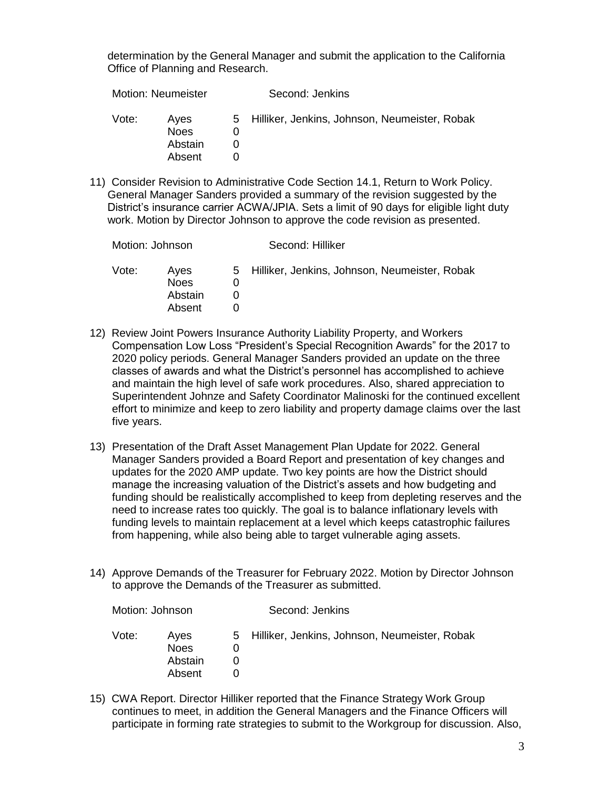determination by the General Manager and submit the application to the California Office of Planning and Research.

| <b>Motion: Neumeister</b> |                                          | Second: Jenkins                                 |
|---------------------------|------------------------------------------|-------------------------------------------------|
| Vote:                     | Aves<br><b>Noes</b><br>Abstain<br>Absent | 5 Hilliker, Jenkins, Johnson, Neumeister, Robak |
|                           |                                          |                                                 |

11) Consider Revision to Administrative Code Section 14.1, Return to Work Policy. General Manager Sanders provided a summary of the revision suggested by the District's insurance carrier ACWA/JPIA. Sets a limit of 90 days for eligible light duty work. Motion by Director Johnson to approve the code revision as presented.

| Motion: Johnson |                                          | Second: Hilliker |                                                 |  |
|-----------------|------------------------------------------|------------------|-------------------------------------------------|--|
| Vote:           | Aves<br><b>Noes</b><br>Abstain<br>Absent |                  | 5 Hilliker, Jenkins, Johnson, Neumeister, Robak |  |

- 12) Review Joint Powers Insurance Authority Liability Property, and Workers Compensation Low Loss "President's Special Recognition Awards" for the 2017 to 2020 policy periods. General Manager Sanders provided an update on the three classes of awards and what the District's personnel has accomplished to achieve and maintain the high level of safe work procedures. Also, shared appreciation to Superintendent Johnze and Safety Coordinator Malinoski for the continued excellent effort to minimize and keep to zero liability and property damage claims over the last five years.
- 13) Presentation of the Draft Asset Management Plan Update for 2022. General Manager Sanders provided a Board Report and presentation of key changes and updates for the 2020 AMP update. Two key points are how the District should manage the increasing valuation of the District's assets and how budgeting and funding should be realistically accomplished to keep from depleting reserves and the need to increase rates too quickly. The goal is to balance inflationary levels with funding levels to maintain replacement at a level which keeps catastrophic failures from happening, while also being able to target vulnerable aging assets.
- 14) Approve Demands of the Treasurer for February 2022. Motion by Director Johnson to approve the Demands of the Treasurer as submitted.

| Motion: Johnson |                                          | Second: Jenkins |                                                 |
|-----------------|------------------------------------------|-----------------|-------------------------------------------------|
| Vote:           | Aves<br><b>Noes</b><br>Abstain<br>Absent |                 | 5 Hilliker, Jenkins, Johnson, Neumeister, Robak |

15) CWA Report. Director Hilliker reported that the Finance Strategy Work Group continues to meet, in addition the General Managers and the Finance Officers will participate in forming rate strategies to submit to the Workgroup for discussion. Also,